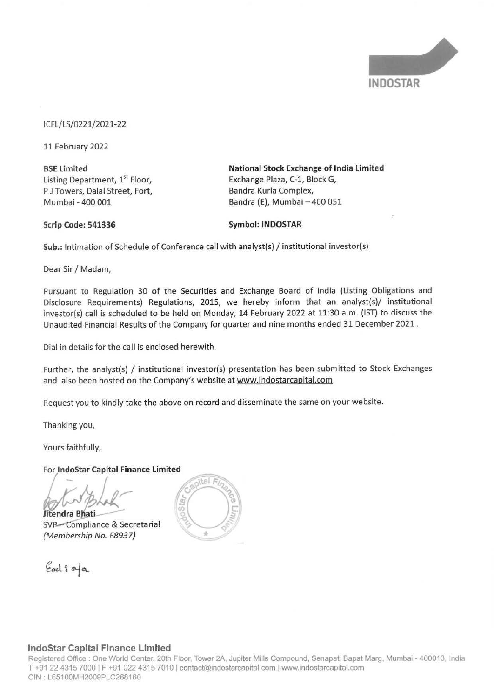

## ICFL/LS/0221/2021-22

11 February 2022

**BSE Limited**  Listing Department, 1<sup>st</sup> Floor, P J Towers, Dalal Street, Fort, Mumbai - 400 001

**National Stock Exchange of India Limited**  Exchange Plaza, C-1, Block G, Bandra Kurla Complex, Bandra (E), Mumbai - 400 051

#### **Scrip Code: 541336**

## **Symbol: INDOSTAR**

**Sub.:** Intimation of Schedule of Conference call with analyst(s) / institutional investor(s)

Dear Sir/ Madam,

Pursuant to Regulation 30 of the Securities and Exchange Board of India (Listing Obligations and Disclosure Requirements) Regulations, 2015, we hereby inform that an analyst(s)/ institutional investor(s) call is scheduled to be held on Monday, 14 February 2022 at 11:30 a.m. (1ST) to discuss the Unaudited Financial Results of the Company for quarter and nine months ended 31 December 2021 .

Dial in details for the call is enclosed herewith.

Further, the analyst(s) / institutional investor(s) presentation has been submitted to Stock Exchanges and also been hosted on the Company's website at www.indostarcapital.com.

Request you to kindly take the above on record and disseminate the same on your website.

Thanking you,

Yours faithfully,

For **lndoStar Capital Finance Limited** 

 $\frac{1}{\sqrt{2}}$ 

**Jitendra Bhati** SVP-Compliance & Secretarial (Membership No. F8937}





## **lndoStar Capital Finance Limited**